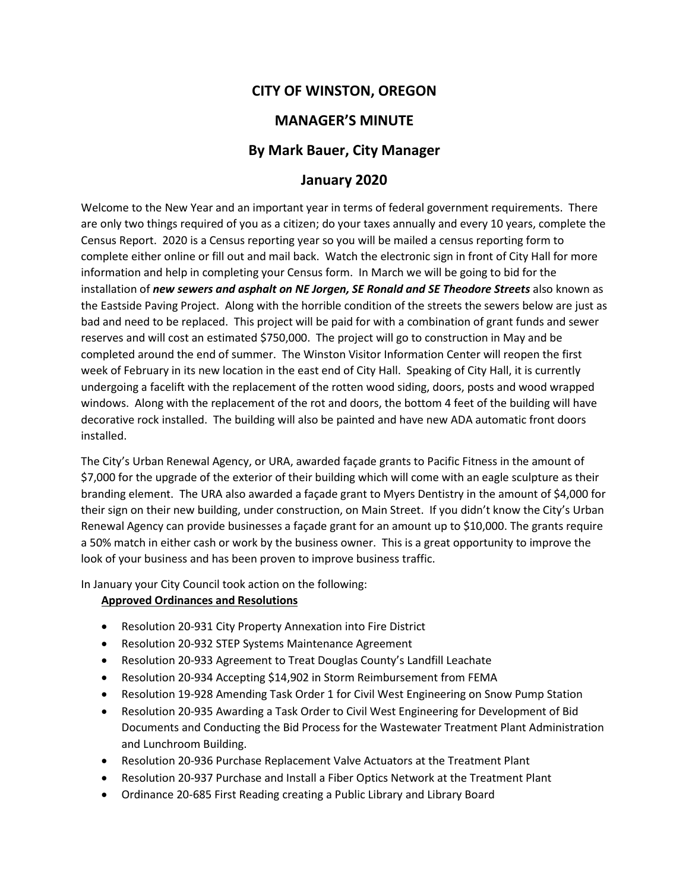# **CITY OF WINSTON, OREGON**

# **MANAGER'S MINUTE**

## **By Mark Bauer, City Manager**

### **January 2020**

Welcome to the New Year and an important year in terms of federal government requirements. There are only two things required of you as a citizen; do your taxes annually and every 10 years, complete the Census Report. 2020 is a Census reporting year so you will be mailed a census reporting form to complete either online or fill out and mail back. Watch the electronic sign in front of City Hall for more information and help in completing your Census form. In March we will be going to bid for the installation of *new sewers and asphalt on NE Jorgen, SE Ronald and SE Theodore Streets* also known as the Eastside Paving Project. Along with the horrible condition of the streets the sewers below are just as bad and need to be replaced. This project will be paid for with a combination of grant funds and sewer reserves and will cost an estimated \$750,000. The project will go to construction in May and be completed around the end of summer. The Winston Visitor Information Center will reopen the first week of February in its new location in the east end of City Hall. Speaking of City Hall, it is currently undergoing a facelift with the replacement of the rotten wood siding, doors, posts and wood wrapped windows. Along with the replacement of the rot and doors, the bottom 4 feet of the building will have decorative rock installed. The building will also be painted and have new ADA automatic front doors installed.

The City's Urban Renewal Agency, or URA, awarded façade grants to Pacific Fitness in the amount of \$7,000 for the upgrade of the exterior of their building which will come with an eagle sculpture as their branding element. The URA also awarded a façade grant to Myers Dentistry in the amount of \$4,000 for their sign on their new building, under construction, on Main Street. If you didn't know the City's Urban Renewal Agency can provide businesses a façade grant for an amount up to \$10,000. The grants require a 50% match in either cash or work by the business owner. This is a great opportunity to improve the look of your business and has been proven to improve business traffic.

In January your City Council took action on the following:

#### **Approved Ordinances and Resolutions**

- Resolution 20-931 City Property Annexation into Fire District
- Resolution 20-932 STEP Systems Maintenance Agreement
- Resolution 20-933 Agreement to Treat Douglas County's Landfill Leachate
- Resolution 20-934 Accepting \$14,902 in Storm Reimbursement from FEMA
- Resolution 19-928 Amending Task Order 1 for Civil West Engineering on Snow Pump Station
- Resolution 20-935 Awarding a Task Order to Civil West Engineering for Development of Bid Documents and Conducting the Bid Process for the Wastewater Treatment Plant Administration and Lunchroom Building.
- Resolution 20-936 Purchase Replacement Valve Actuators at the Treatment Plant
- Resolution 20-937 Purchase and Install a Fiber Optics Network at the Treatment Plant
- Ordinance 20-685 First Reading creating a Public Library and Library Board